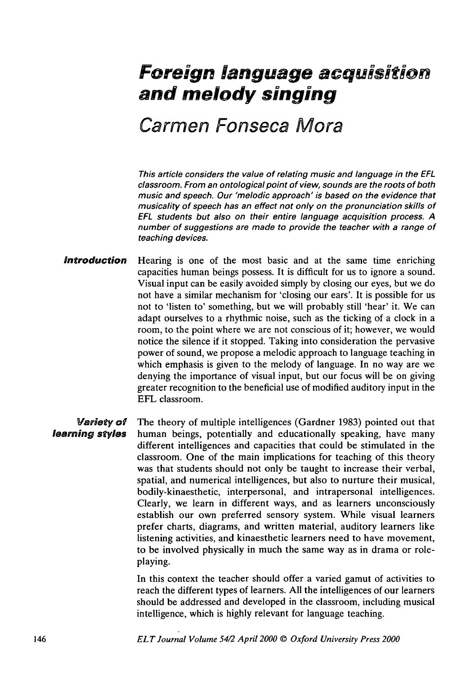# Foreign language acquisition<br>and melody singing

# **Carmen Fonseca Mora**

This article considers the value of relating music and language in the EFL classroom. From an ontological point of view, sounds are the roots of both music and speech. Our 'melodic approach' is based on the evidence that musicality of speech has an effect not only on the pronunciation skills of EFL students but also on their entire language acquisition process. A number of suggestions are made to provide the teacher with a range of teaching devices.

**Introduction** Hearing is one of the most basic and at the same time enriching capacities human beings possess. It is difficult for us to ignore a sound. Visual input can be easily avoided simply by closing our eyes, but we do not have a similar mechanism for 'closing our ears'. It is possible for us not to 'listen to' something, but we will probably still 'hear' it. We can adapt ourselves to a rhythmic noise, such as the ticking of a clock in a room, to the point where we are not conscious of it; however, we would notice the silence if it stopped. Taking into consideration the pervasive power of sound, we propose a melodic approach to language teaching in which emphasis is given to the melody of language. In no way are we denying the importance of visual input, but our focus will be on giving greater recognition to the beneficial use of modified auditory input in the EFL classroom.

**Variety of learning styles** The theory of multiple intelligences (Gardner 1983) pointed out that human beings, potentially and educationally speaking, have many different intelligences and capacities that could be stimulated in the classroom. One of the main implications for teaching of this theory was that students should not only be taught to increase their verbal, spatial, and numerical intelligences, but also to nurture their musical, bodily-kinaesthetic, interpersonal, and intrapersonal intelligences. Clearly, we learn in different ways, and as learners unconsciously establish our own preferred sensory system. While visual learners prefer charts, diagrams, and written material, auditory learners like listening activities, and kinaesthetic learners need to have movement, to be involved physically in much the same way as in drama or roleplaying.

> In this context the teacher should offer a varied gamut of activities to reach the different types of learners. All the intelligences of our learners should be addressed and developed in the classroom, including musical intelligence, which is highly relevant for language teaching.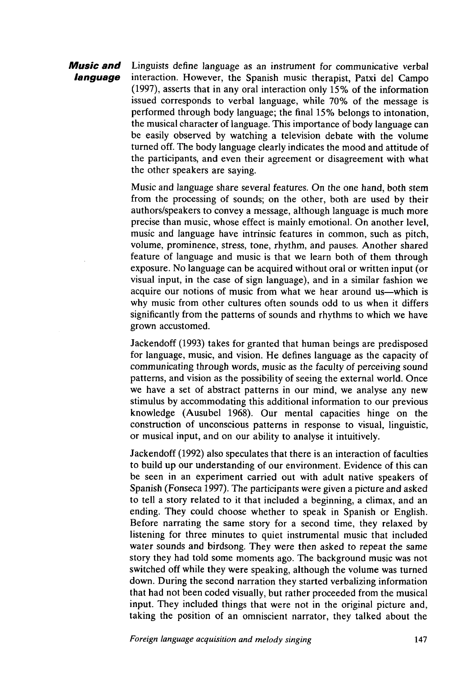## *Music and* Linguists define language as an instrument for communicative verbal **language** interaction. However, the Spanish music therapist, Patxi del Campo (1997), asserts that in any oral interaction only 15% of the information issued corresponds to verbal language, while 70% of the message is performed through body language; the final 15% belongs to intonation, the musical character of language. This importance of body language can be easily observed by watching a television debate with the volume turned off. The body language clearly indicates the mood and attitude of the participants, and even their agreement or disagreement with what the other speakers are saying.

Music and language share several features. On the one hand, both stem from the processing of sounds; on the other, both are used by their authors/speakers to convey a message, although language is much more precise than music, whose effect is mainly emotional. On another level, music and language have intrinsic features in common, such as pitch, volume, prominence, stress, tone, rhythm, and pauses. Another shared feature of language and music is that we learn both of them through exposure. No language can be acquired without oral or written input (or visual input, in the case of sign language), and in a similar fashion we acquire our notions of music from what we hear around us—which is why music from other cultures often sounds odd to us when it differs significantly from the patterns of sounds and rhythms to which we have grown accustomed.

Jackendoff (1993) takes for granted that human beings are predisposed for language, music, and vision. He defines language as the capacity of communicating through words, music as the faculty of perceiving sound patterns, and vision as the possibility of seeing the external world. Once we have a set of abstract patterns in our mind, we analyse any new stimulus by accommodating this additional information to our previous knowledge (Ausubel 1968). Our mental capacities hinge on the construction of unconscious patterns in response to visual, linguistic, or musical input, and on our ability to analyse it intuitively.

Jackendoff (1992) also speculates that there is an interaction of faculties to build up our understanding of our environment. Evidence of this can be seen in an experiment carried out with adult native speakers of Spanish (Fonseca 1997). The participants were given a picture and asked to tell a story related to it that included a beginning, a climax, and an ending. They could choose whether to speak in Spanish or English. Before narrating the same story for a second time, they relaxed by listening for three minutes to quiet instrumental music that included water sounds and birdsong. They were then asked to repeat the same story they had told some moments ago. The background music was not switched off while they were speaking, although the volume was turned down. During the second narration they started verbalizing information that had not been coded visually, but rather proceeded from the musical input. They included things that were not in the original picture and, taking the position of an omniscient narrator, they talked about the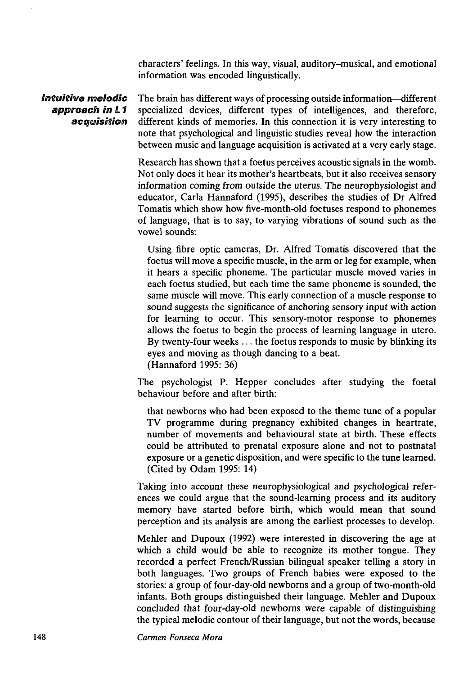characters' feelings. In this way, visual, auditory-musical, and emotional information was encoded linguistically.

Intuitive melodic approach in LI acquisition The brain has different ways of processing outside information—different specialized devices, different types of intelligences, and therefore, different kinds of memories. In this connection it is very interesting to note that psychological and linguistic studies reveal how the interaction between music and language acquisition is activated at a very early stage.

Research has shown that a foetus perceives acoustic signals in the womb. Not only does it hear its mother's heartbeats, but it also receives sensory information coming from outside the uterus. The neurophysiologist and educator, Carla Hannaford (1995), describes the studies of Dr Alfred Tomatis which show how five-month-old foetuses respond to phonemes of language, that is to say, to varying vibrations of sound such as the vowel sounds:

Using fibre optic cameras, Dr. Alfred Tomatis discovered that the foetus will move a specific muscle, in the arm or leg for example, when it hears a specific phoneme. The particular muscle moved varies in each foetus studied, but each time the same phoneme is sounded, the same muscle will move. This early connection of a muscle response to sound suggests the significance of anchoring sensory input with action for learning to occur. This sensory-motor response to phonemes allows the foetus to begin the process of learning language in utero. By twenty-four weeks ... the foetus responds to music by blinking its eyes and moving as though dancing to a beat. (Hannaford 1995: 36)

The psychologist P. Hepper concludes after studying the foetal behaviour before and after birth:

that newborns who had been exposed to the theme tune of a popular TV programme during pregnancy exhibited changes in heartrate, number of movements and behavioural state at birth. These effects could be attributed to prenatal exposure alone and not to postnatal exposure or a genetic disposition, and were specific to the tune learned. (Cited by Odam 1995: 14)

Taking into account these neurophysiological and psychological references we could argue that the sound-learning process and its auditory memory have started before birth, which would mean that sound perception and its analysis are among the earliest processes to develop.

Mehler and Dupoux (1992) were interested in discovering the age at which a child would be able to recognize its mother tongue. They recorded a perfect French/Russian bilingual speaker telling a story in both languages. Two groups of French babies were exposed to the stories: a group of four-day-old newborns and a group of two-month-old infants. Both groups distinguished their language. Mehler and Dupoux concluded that four-day-old newborns were capable of distinguishing the typical melodic contour of their language, but not the words, because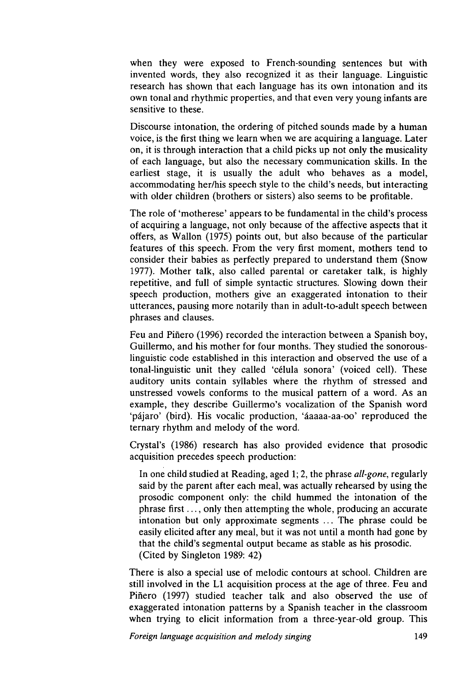when they were exposed to French-sounding sentences but with invented words, they also recognized it as their language. Linguistic research has shown that each language has its own intonation and its own tonal and rhythmic properties, and that even very young infants are sensitive to these.

Discourse intonation, the ordering of pitched sounds made by a human voice, is the first thing we learn when we are acquiring a language. Later on, it is through interaction that a child picks up not only the musicality of each language, but also the necessary communication skills. In the earliest stage, it is usually the adult who behaves as a model, accommodating her/his speech style to the child's needs, but interacting with older children (brothers or sisters) also seems to be profitable.

The role of 'motherese' appears to be fundamental in the child's process of acquiring a language, not only because of the affective aspects that it offers, as Wallon (1975) points out, but also because of the particular features of this speech. From the very first moment, mothers tend to consider their babies as perfectly prepared to understand them (Snow 1977). Mother talk, also called parental or caretaker talk, is highly repetitive, and full of simple syntactic structures. Slowing down their speech production, mothers give an exaggerated intonation to their utterances, pausing more notarily than in adult-to-adult speech between phrases and clauses.

Feu and Pinero (1996) recorded the interaction between a Spanish boy, Guillermo, and his mother for four months. They studied the sonorouslinguistic code established in this interaction and observed the use of a tonal-linguistic unit they called 'celula sonora' (voiced cell). These auditory units contain syllables where the rhythm of stressed and unstressed vowels conforms to the musical pattern of a word. As an example, they describe Guillermo's vocalization of the Spanish word 'pajaro' (bird). His vocalic production, 'aaaaa-aa-oo' reproduced the ternary rhythm and melody of the word.

Crystal's (1986) research has also provided evidence that prosodic acquisition precedes speech production:

In one child studied at Reading, aged 1; 2, the phrase *all-gone,* regularly said by the parent after each meal, was actually rehearsed by using the prosodic component only: the child hummed the intonation of the phrase first..., only then attempting the whole, producing an accurate intonation but only approximate segments ... The phrase could be easily elicited after any meal, but it was not until a month had gone by that the child's segmental output became as stable as his prosodic. (Cited by Singleton 1989: 42)

There is also a special use of melodic contours at school. Children are still involved in the LI acquisition process at the age of three. Feu and Pinero (1997) studied teacher talk and also observed the use of exaggerated intonation patterns by a Spanish teacher in the classroom when trying to elicit information from a three-year-old group. This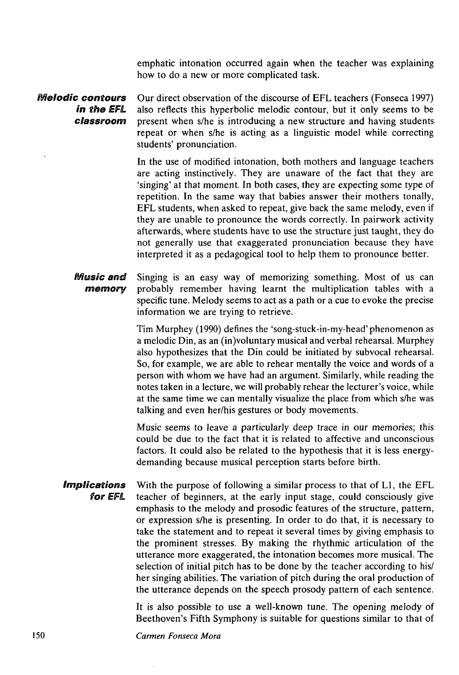emphatic intonation occurred again when the teacher was explaining how to do a new or more complicated task.

**Melodic contours in the EFL classroom** Our direct observation of the discourse of EFL teachers (Fonseca 1997) also reflects this hyperbolic melodic contour, but it only seems to be present when s/he is introducing a new structure and having students repeat or when s/he is acting as a linguistic model while correcting students' pronunciation.

> In the use of modified intonation, both mothers and language teachers are acting instinctively. They are unaware of the fact that they are 'singing' at that moment. In both cases, they are expecting some type of repetition. In the same way that babies answer their mothers tonally, EFL students, when asked to repeat, give back the same melody, even if they are unable to pronounce the words correctly. In pairwork activity afterwards, where students have to use the structure just taught, they do not generally use that exaggerated pronunciation because they have interpreted it as a pedagogical tool to help them to pronounce better.

*Music and* Singing is an easy way of memorizing something. Most of us can *memory* probably remember having learnt the multiplication tables with a specific tune. Melody seems to act as a path or a cue to evoke the precise information we are trying to retrieve.

> Tim Murphey (1990) defines the 'song-stuck-in-my-head' phenomenon as a melodic Din, as an (in)voluntary musical and verbal rehearsal. Murphey also hypothesizes that the Din could be initiated by subvocal rehearsal. So, for example, we are able to rehear mentally the voice and words of a person with whom we have had an argument. Similarly, while reading the notes taken in a lecture, we will probably rehear the lecturer's voice, while at the same time we can mentally visualize the place from which s/he was talking and even her/his gestures or body movements.

> Music seems to leave a particularly deep trace in our memories; this could be due to the fact that it is related to affective and unconscious factors. It could also be related to the hypothesis that it is less energydemanding because musical perception starts before birth.

**Implications for EFL** With the purpose of following a similar process to that of LI, the EFL teacher of beginners, at the early input stage, could consciously give emphasis to the melody and prosodic features of the structure, pattern, or expression s/he is presenting. In order to do that, it is necessary to take the statement and to repeat it several times by giving emphasis to the prominent stresses. By making the rhythmic articulation of the utterance more exaggerated, the intonation becomes more musical. The selection of initial pitch has to be done by the teacher according to his/ her singing abilities. The variation of pitch during the oral production of the utterance depends on the speech prosody pattern of each sentence.

> It is also possible to use a well-known tune. The opening melody of Beethoven's Fifth Symphony is suitable for questions similar to that of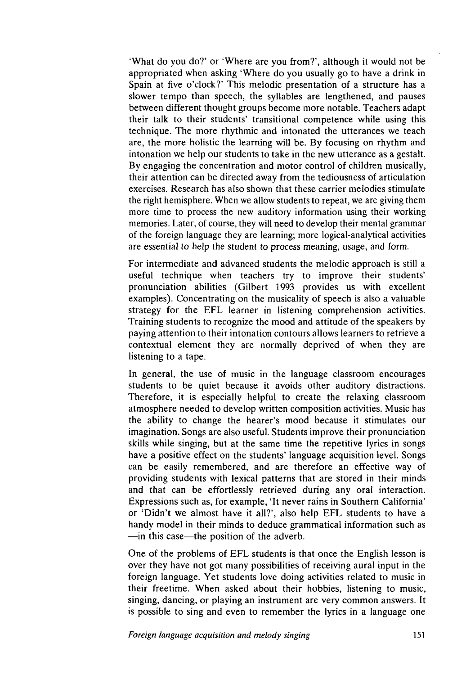'What do you do?' or 'Where are you from?', although it would not be appropriated when asking 'Where do you usually go to have a drink in Spain at five o'clock?' This melodic presentation of a structure has a slower tempo than speech, the syllables are lengthened, and pauses between different thought groups become more notable. Teachers adapt their talk to their students' transitional competence while using this technique. The more rhythmic and intonated the utterances we teach are, the more holistic the learning will be. By focusing on rhythm and intonation we help our students to take in the new utterance as a gestalt. By engaging the concentration and motor control of children musically, their attention can be directed away from the tediousness of articulation exercises. Research has also shown that these carrier melodies stimulate the right hemisphere. When we allow students to repeat, we are giving them more time to process the new auditory information using their working memories. Later, of course, they will need to develop their mental grammar of the foreign language they are learning; more logical-analytical activities are essential to help the student to process meaning, usage, and form.

For intermediate and advanced students the melodic approach is still a useful technique when teachers try to improve their students' pronunciation abilities (Gilbert 1993 provides us with excellent examples). Concentrating on the musicality of speech is also a valuable strategy for the EFL learner in listening comprehension activities. Training students to recognize the mood and attitude of the speakers by paying attention to their intonation contours allows learners to retrieve a contextual element they are normally deprived of when they are listening to a tape.

In general, the use of music in the language classroom encourages students to be quiet because it avoids other auditory distractions. Therefore, it is especially helpful to create the relaxing classroom atmosphere needed to develop written composition activities. Music has the ability to change the hearer's mood because it stimulates our imagination. Songs are also useful. Students improve their pronunciation skills while singing, but at the same time the repetitive lyrics in songs have a positive effect on the students' language acquisition level. Songs can be easily remembered, and are therefore an effective way of providing students with lexical patterns that are stored in their minds and that can be effortlessly retrieved during any oral interaction. Expressions such as, for example, 'It never rains in Southern California' or 'Didn't we almost have it all?', also help EFL students to have a handy model in their minds to deduce grammatical information such as —in this case—the position of the adverb.

One of the problems of EFL students is that once the English lesson is over they have not got many possibilities of receiving aural input in the foreign language. Yet students love doing activities related to music in their freetime. When asked about their hobbies, listening to music, singing, dancing, or playing an instrument are very common answers. It is possible to sing and even to remember the lyrics in a language one